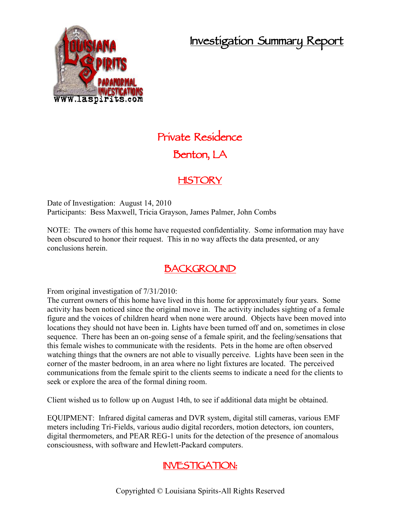## **Investigation Summary Report**



# **Private Residence Benton, LA**

#### **HISTORY**

Date of Investigation: August 14, 2010 Participants: Bess Maxwell, Tricia Grayson, James Palmer, John Combs

NOTE: The owners of this home have requested confidentiality. Some information may have been obscured to honor their request. This in no way affects the data presented, or any conclusions herein.

### **BACKGROUND**

From original investigation of 7/31/2010:

The current owners of this home have lived in this home for approximately four years. Some activity has been noticed since the original move in. The activity includes sighting of a female figure and the voices of children heard when none were around. Objects have been moved into locations they should not have been in. Lights have been turned off and on, sometimes in close sequence. There has been an on-going sense of a female spirit, and the feeling/sensations that this female wishes to communicate with the residents. Pets in the home are often observed watching things that the owners are not able to visually perceive. Lights have been seen in the corner of the master bedroom, in an area where no light fixtures are located. The perceived communications from the female spirit to the clients seems to indicate a need for the clients to seek or explore the area of the formal dining room.

Client wished us to follow up on August 14th, to see if additional data might be obtained.

EQUIPMENT: Infrared digital cameras and DVR system, digital still cameras, various EMF meters including Tri-Fields, various audio digital recorders, motion detectors, ion counters, digital thermometers, and PEAR REG-1 units for the detection of the presence of anomalous consciousness, with software and Hewlett-Packard computers.

### **INVESTIGATION:**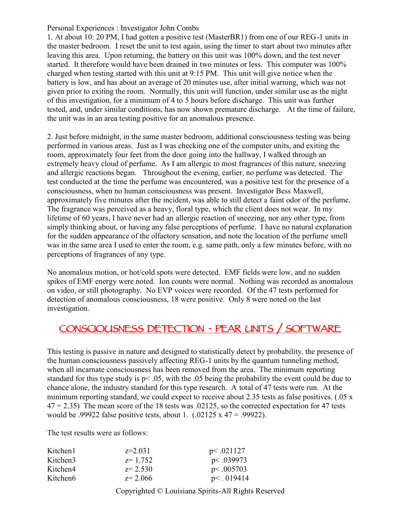#### Personal Experiences : Investigator John Combs

1. At about 10: 20 PM, I had gotten a positive test (MasterBR1) from one of our REG-1 units in the master bedroom. I reset the unit to test again, using the timer to start about two minutes after leaving this area. Upon returning, the battery on this unit was 100% down, and the test never started. It therefore would have been drained in two minutes or less. This computer was 100% charged when testing started with this unit at 9:15 PM. This unit will give notice when the battery is low, and has about an average of 20 minutes use, after initial warning, which was not given prior to exiting the room. Normally, this unit will function, under similar use as the night of this investigation, for a minimum of 4 to 5 hours before discharge. This unit was further tested, and, under similar conditions, has now shown premature discharge. At the time of failure, the unit was in an area testing positive for an anomalous presence.

2. Just before midnight, in the same master bedroom, additional consciousness testing was being performed in various areas. Just as I was checking one of the computer units, and exiting the room, approximately four feet from the door going into the hallway, I walked through an extremely heavy cloud of perfume. As I am allergic to most fragrances of this nature, sneezing and allergic reactions began. Throughout the evening, earlier, no perfume was detected. The test conducted at the time the perfume was encountered, was a positive test for the presence of a consciousness, when no human consciousness was present. Investigator Bess Maxwell, approximately five minutes after the incident, was able to still detect a faint odor of the perfume. The fragrance was perceived as a heavy, floral type, which the client does not wear. In my lifetime of 60 years, I have never had an allergic reaction of sneezing, nor any other type, from simply thinking about, or having any false perceptions of perfume. I have no natural explanation for the sudden appearance of the olfactory sensation, and note the location of the perfume smell was in the same area I used to enter the room, e.g. same path, only a few minutes before, with no perceptions of fragrances of any type.

No anomalous motion, or hot/cold spots were detected. EMF fields were low, and no sudden spikes of EMF energy were noted. Ion counts were normal. Nothing was recorded as anomalous on video, or still photography. No EVP voices were recorded. Of the 47 tests performed for detection of anomalous consciousness, 18 were positive. Only 8 were noted on the last investigation.

#### **CONSCIOUSNESS DETECTION - PEAR UNITS / SOFTWARE**

This testing is passive in nature and designed to statistically detect by probability, the presence of the human consciousness passively affecting REG-1 units by the quantum tunneling method, when all incarnate consciousness has been removed from the area. The minimum reporting standard for this type study is p< .05, with the .05 being the probability the event could be due to chance alone, the industry standard for this type research. A total of 47 tests were run. At the minimum reporting standard, we could expect to receive about 2.35 tests as false positives. (.05 x  $47 = 2.35$ ) The mean score of the 18 tests was  $.02125$ , so the corrected expectation for 47 tests would be .99922 false positive tests, about 1.  $(.02125 \times 47 = .99922)$ .

The test results were as follows:

| Kitchen1 | $z=2.031$   | p<.021127     |
|----------|-------------|---------------|
| Kitchen3 | $z=1.752$   | p<.039973     |
| Kitchen4 | $z = 2.530$ | p<.005703     |
| Kitchen6 | $z = 2.066$ | $p<$ . 019414 |

Copyrighted © Louisiana Spirits-All Rights Reserved